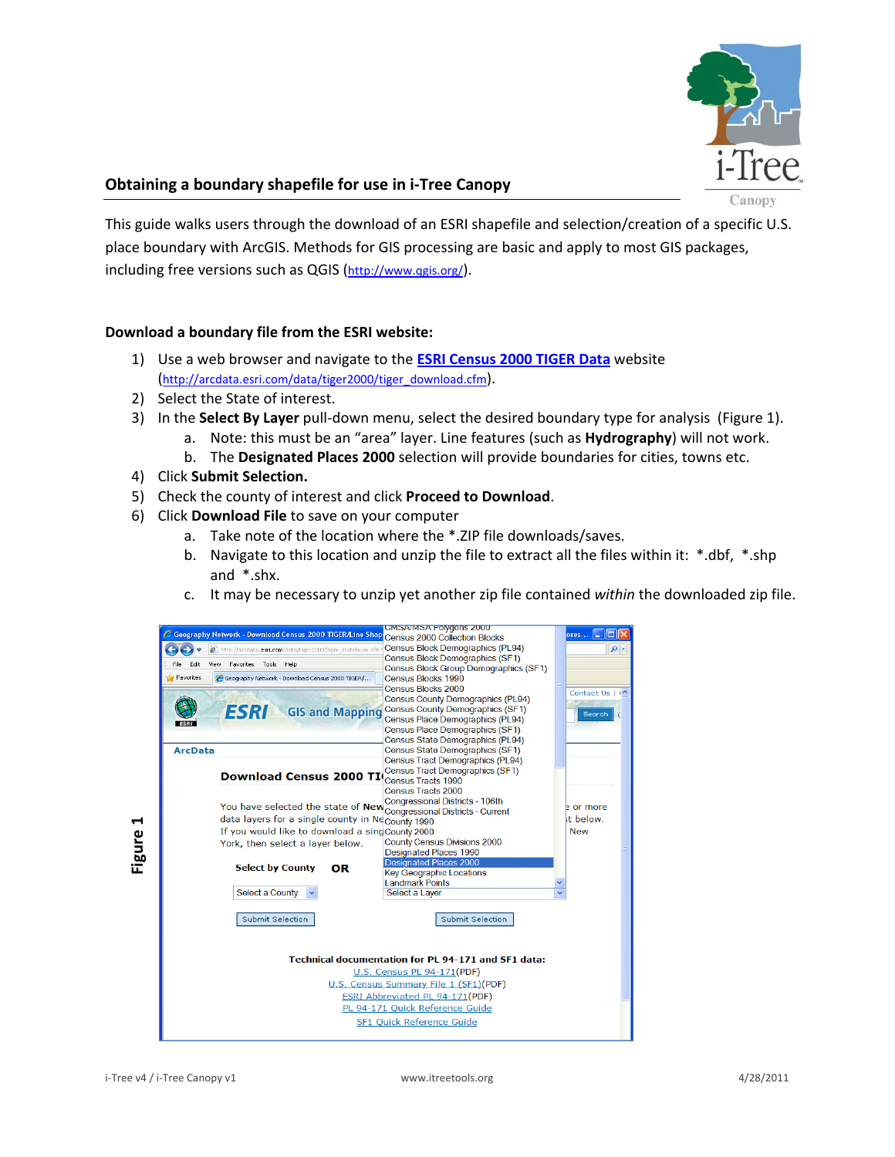

## **Obtaining a boundary shapefile for use in i‐Tree Canopy**

This guide walks users through the download of an ESRI shapefile and selection/creation of a specific U.S. place boundary with ArcGIS. Methods for GIS processing are basic and apply to most GIS packages, including free versions such as QGIS (http://www.qgis.org/).

## **Download a boundary file from the ESRI website:**

- 1) Use a web browser and navigate to the **ESRI Census 2000 TIGER Data** website (http://arcdata.esri.com/data/tiger2000/tiger\_download.cfm).
- 2) Select the State of interest.
- 3) In the **Select By Layer** pull‐down menu, select the desired boundary type for analysis (Figure 1).
	- a. Note: this must be an "area" layer. Line features (such as **Hydrography**) will not work.
	- b. The **Designated Places 2000** selection will provide boundaries for cities, towns etc.
- 4) Click **Submit Selection.**
- 5) Check the county of interest and click **Proceed to Download**.
- 6) Click **Download File** to save on your computer
	- a. Take note of the location where the \*.ZIP file downloads/saves.
	- b. Navigate to this location and unzip the file to extract all the files within it: \*.dbf, \*.shp and \*.shx.
	- c. It may be necessary to unzip yet another zip file contained *within* the downloaded zip file.

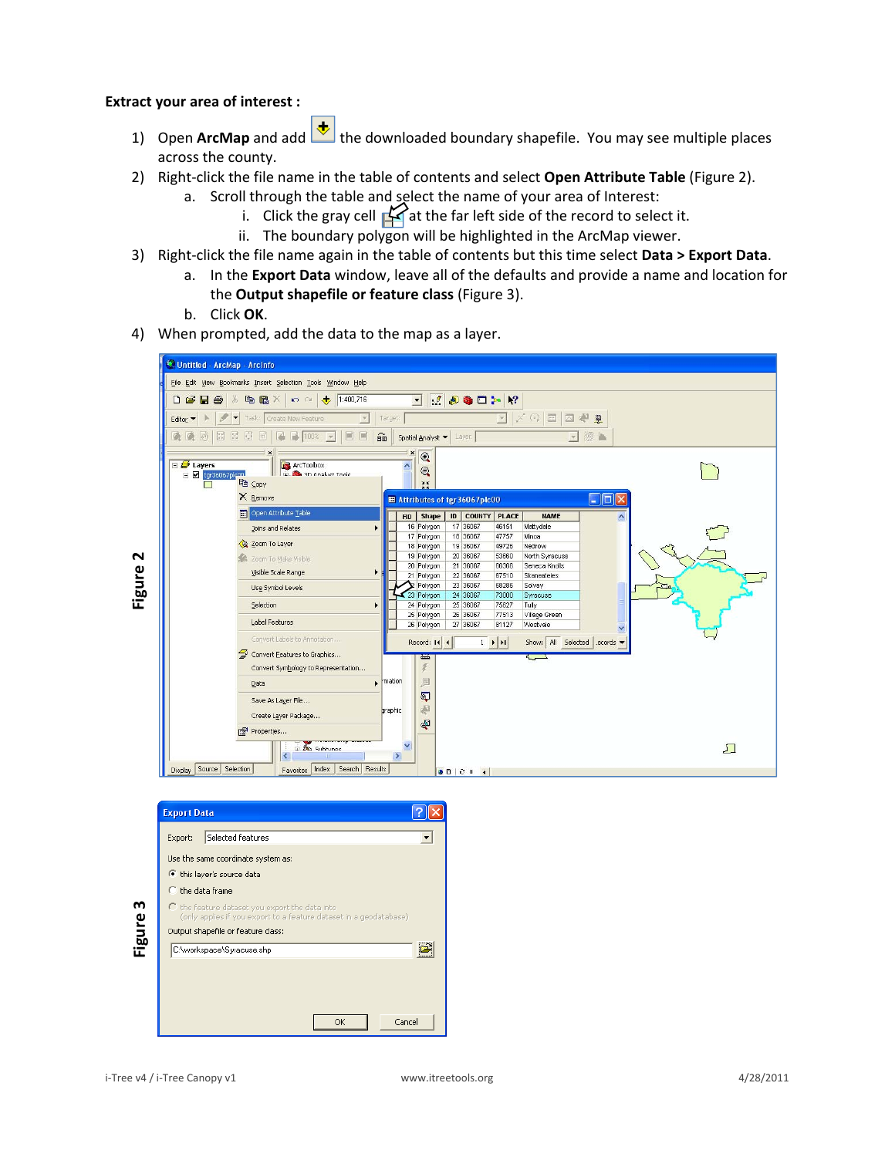## **Extract your area of interest :**

- 1) Open **ArcMap** and add **th** the downloaded boundary shapefile. You may see multiple places across the county.
- 2) Right‐click the file name in the table of contents and select **Open Attribute Table** (Figure 2).
	- a. Scroll through the table and select the name of your area of Interest:
		- i. Click the gray cell  $\bigotimes$  at the far left side of the record to select it.
		- ii. The boundary polygon will be highlighted in the ArcMap viewer.
- 3) Right‐click the file name again in the table of contents but this time select **Data > Export Data**.
	- a. In the **Export Data** window, leave all of the defaults and provide a name and location for the **Output shapefile or feature class** (Figure 3).
	- b. Click **OK**.
- 4) When prompted, add the data to the map as a layer.